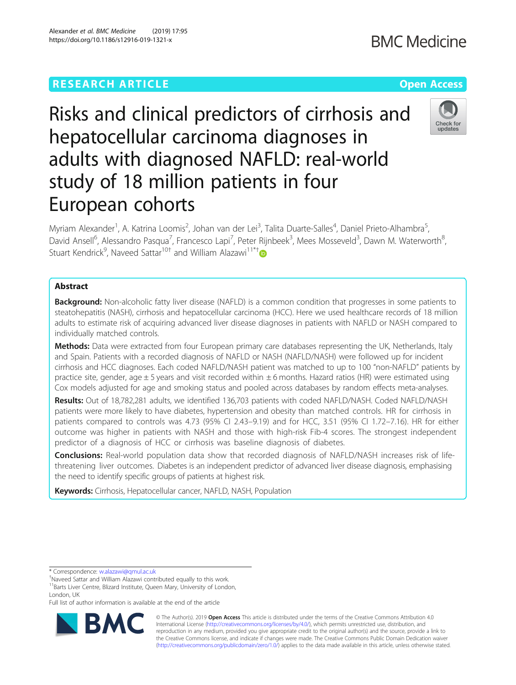# **RESEARCH ARTICLE Example 2018 12:30 THE Open Access**

Alexander et al. BMC Medicine (2019) 17:95 https://doi.org/10.1186/s12916-019-1321-x

# Risks and clinical predictors of cirrhosis and hepatocellular carcinoma diagnoses in adults with diagnosed NAFLD: real-world study of 18 million patients in four European cohorts

Myriam Alexander<sup>1</sup>, A. Katrina Loomis<sup>2</sup>, Johan van der Lei<sup>3</sup>, Talita Duarte-Salles<sup>4</sup>, Daniel Prieto-Alhambra<sup>5</sup> , David Ansell<sup>6</sup>, Alessandro Pasqua<sup>7</sup>, Francesco Lapi<sup>7</sup>, Peter Rijnbeek<sup>3</sup>, Mees Mosseveld<sup>3</sup>, Dawn M. Waterworth<sup>8</sup> ;<br>, Stuart Kendrick<sup>9</sup>, Naveed Sattar<sup>10[†](http://orcid.org/0000-0002-3891-5914)</sup> and William Alazawi<sup>11\*†</sup>

# Abstract

Background: Non-alcoholic fatty liver disease (NAFLD) is a common condition that progresses in some patients to steatohepatitis (NASH), cirrhosis and hepatocellular carcinoma (HCC). Here we used healthcare records of 18 million adults to estimate risk of acquiring advanced liver disease diagnoses in patients with NAFLD or NASH compared to individually matched controls.

Methods: Data were extracted from four European primary care databases representing the UK, Netherlands, Italy and Spain. Patients with a recorded diagnosis of NAFLD or NASH (NAFLD/NASH) were followed up for incident cirrhosis and HCC diagnoses. Each coded NAFLD/NASH patient was matched to up to 100 "non-NAFLD" patients by practice site, gender, age  $\pm$  5 years and visit recorded within  $\pm$  6 months. Hazard ratios (HR) were estimated using Cox models adjusted for age and smoking status and pooled across databases by random effects meta-analyses.

Results: Out of 18,782,281 adults, we identified 136,703 patients with coded NAFLD/NASH. Coded NAFLD/NASH patients were more likely to have diabetes, hypertension and obesity than matched controls. HR for cirrhosis in patients compared to controls was 4.73 (95% CI 2.43–9.19) and for HCC, 3.51 (95% CI 1.72–7.16). HR for either outcome was higher in patients with NASH and those with high-risk Fib-4 scores. The strongest independent predictor of a diagnosis of HCC or cirrhosis was baseline diagnosis of diabetes.

**Conclusions:** Real-world population data show that recorded diagnosis of NAFLD/NASH increases risk of lifethreatening liver outcomes. Diabetes is an independent predictor of advanced liver disease diagnosis, emphasising the need to identify specific groups of patients at highest risk.

Keywords: Cirrhosis, Hepatocellular cancer, NAFLD, NASH, Population







© The Author(s). 2019 **Open Access** This article is distributed under the terms of the Creative Commons Attribution 4.0 International License [\(http://creativecommons.org/licenses/by/4.0/](http://creativecommons.org/licenses/by/4.0/)), which permits unrestricted use, distribution, and reproduction in any medium, provided you give appropriate credit to the original author(s) and the source, provide a link to the Creative Commons license, and indicate if changes were made. The Creative Commons Public Domain Dedication waiver [\(http://creativecommons.org/publicdomain/zero/1.0/](http://creativecommons.org/publicdomain/zero/1.0/)) applies to the data made available in this article, unless otherwise stated.

<sup>\*</sup> Correspondence: [w.alazawi@qmul.ac.uk](mailto:w.alazawi@qmul.ac.uk) †

Naveed Sattar and William Alazawi contributed equally to this work. <sup>11</sup>Barts Liver Centre, Blizard Institute, Queen Mary, University of London, London, UK

Full list of author information is available at the end of the article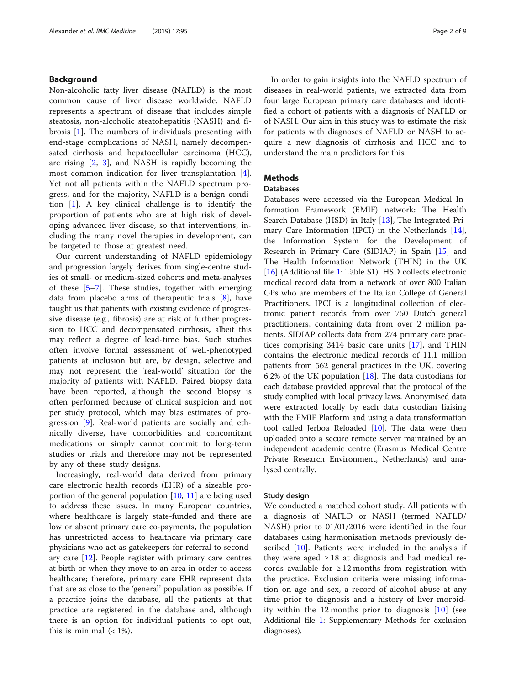# Background

Non-alcoholic fatty liver disease (NAFLD) is the most common cause of liver disease worldwide. NAFLD represents a spectrum of disease that includes simple steatosis, non-alcoholic steatohepatitis (NASH) and fibrosis [\[1](#page-7-0)]. The numbers of individuals presenting with end-stage complications of NASH, namely decompensated cirrhosis and hepatocellular carcinoma (HCC), are rising  $[2, 3]$  $[2, 3]$  $[2, 3]$  $[2, 3]$  $[2, 3]$ , and NASH is rapidly becoming the most common indication for liver transplantation [\[4](#page-7-0)]. Yet not all patients within the NAFLD spectrum progress, and for the majority, NAFLD is a benign condition [[1\]](#page-7-0). A key clinical challenge is to identify the proportion of patients who are at high risk of developing advanced liver disease, so that interventions, including the many novel therapies in development, can be targeted to those at greatest need.

Our current understanding of NAFLD epidemiology and progression largely derives from single-centre studies of small- or medium-sized cohorts and meta-analyses of these [\[5](#page-7-0)–[7\]](#page-7-0). These studies, together with emerging data from placebo arms of therapeutic trials  $[8]$  $[8]$ , have taught us that patients with existing evidence of progressive disease (e.g., fibrosis) are at risk of further progression to HCC and decompensated cirrhosis, albeit this may reflect a degree of lead-time bias. Such studies often involve formal assessment of well-phenotyped patients at inclusion but are, by design, selective and may not represent the 'real-world' situation for the majority of patients with NAFLD. Paired biopsy data have been reported, although the second biopsy is often performed because of clinical suspicion and not per study protocol, which may bias estimates of progression [[9\]](#page-7-0). Real-world patients are socially and ethnically diverse, have comorbidities and concomitant medications or simply cannot commit to long-term studies or trials and therefore may not be represented by any of these study designs.

Increasingly, real-world data derived from primary care electronic health records (EHR) of a sizeable proportion of the general population  $[10, 11]$  $[10, 11]$  $[10, 11]$  $[10, 11]$  are being used to address these issues. In many European countries, where healthcare is largely state-funded and there are low or absent primary care co-payments, the population has unrestricted access to healthcare via primary care physicians who act as gatekeepers for referral to secondary care [\[12](#page-8-0)]. People register with primary care centres at birth or when they move to an area in order to access healthcare; therefore, primary care EHR represent data that are as close to the 'general' population as possible. If a practice joins the database, all the patients at that practice are registered in the database and, although there is an option for individual patients to opt out, this is minimal  $\left( < 1\% \right)$ .

In order to gain insights into the NAFLD spectrum of diseases in real-world patients, we extracted data from four large European primary care databases and identified a cohort of patients with a diagnosis of NAFLD or of NASH. Our aim in this study was to estimate the risk for patients with diagnoses of NAFLD or NASH to acquire a new diagnosis of cirrhosis and HCC and to understand the main predictors for this.

# **Methods**

# Databases

Databases were accessed via the European Medical Information Framework (EMIF) network: The Health Search Database (HSD) in Italy [[13](#page-8-0)], The Integrated Primary Care Information (IPCI) in the Netherlands [\[14](#page-8-0)], the Information System for the Development of Research in Primary Care (SIDIAP) in Spain [[15\]](#page-8-0) and The Health Information Network (THIN) in the UK [[16\]](#page-8-0) (Additional file [1:](#page-6-0) Table S1). HSD collects electronic medical record data from a network of over 800 Italian GPs who are members of the Italian College of General Practitioners. IPCI is a longitudinal collection of electronic patient records from over 750 Dutch general practitioners, containing data from over 2 million patients. SIDIAP collects data from 274 primary care practices comprising 3414 basic care units [[17\]](#page-8-0), and THIN contains the electronic medical records of 11.1 million patients from 562 general practices in the UK, covering 6.2% of the UK population  $[18]$  $[18]$ . The data custodians for each database provided approval that the protocol of the study complied with local privacy laws. Anonymised data were extracted locally by each data custodian liaising with the EMIF Platform and using a data transformation tool called Jerboa Reloaded [\[10](#page-8-0)]. The data were then uploaded onto a secure remote server maintained by an independent academic centre (Erasmus Medical Centre Private Research Environment, Netherlands) and analysed centrally.

#### Study design

We conducted a matched cohort study. All patients with a diagnosis of NAFLD or NASH (termed NAFLD/ NASH) prior to 01/01/2016 were identified in the four databases using harmonisation methods previously described [\[10](#page-8-0)]. Patients were included in the analysis if they were aged  $\geq 18$  at diagnosis and had medical records available for  $\geq 12$  months from registration with the practice. Exclusion criteria were missing information on age and sex, a record of alcohol abuse at any time prior to diagnosis and a history of liver morbidity within the 12 months prior to diagnosis [\[10](#page-8-0)] (see Additional file [1](#page-6-0): Supplementary Methods for exclusion diagnoses).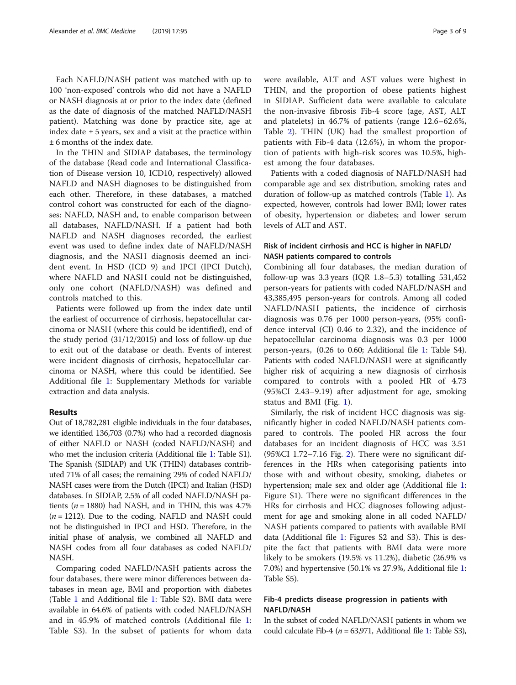Each NAFLD/NASH patient was matched with up to 100 'non-exposed' controls who did not have a NAFLD or NASH diagnosis at or prior to the index date (defined as the date of diagnosis of the matched NAFLD/NASH patient). Matching was done by practice site, age at index date  $\pm$  5 years, sex and a visit at the practice within ± 6 months of the index date.

In the THIN and SIDIAP databases, the terminology of the database (Read code and International Classification of Disease version 10, ICD10, respectively) allowed NAFLD and NASH diagnoses to be distinguished from each other. Therefore, in these databases, a matched control cohort was constructed for each of the diagnoses: NAFLD, NASH and, to enable comparison between all databases, NAFLD/NASH. If a patient had both NAFLD and NASH diagnoses recorded, the earliest event was used to define index date of NAFLD/NASH diagnosis, and the NASH diagnosis deemed an incident event. In HSD (ICD 9) and IPCI (IPCI Dutch), where NAFLD and NASH could not be distinguished, only one cohort (NAFLD/NASH) was defined and controls matched to this.

Patients were followed up from the index date until the earliest of occurrence of cirrhosis, hepatocellular carcinoma or NASH (where this could be identified), end of the study period (31/12/2015) and loss of follow-up due to exit out of the database or death. Events of interest were incident diagnosis of cirrhosis, hepatocellular carcinoma or NASH, where this could be identified. See Additional file [1](#page-6-0): Supplementary Methods for variable extraction and data analysis.

### Results

Out of 18,782,281 eligible individuals in the four databases, we identified 136,703 (0.7%) who had a recorded diagnosis of either NAFLD or NASH (coded NAFLD/NASH) and who met the inclusion criteria (Additional file [1](#page-6-0): Table S1). The Spanish (SIDIAP) and UK (THIN) databases contributed 71% of all cases; the remaining 29% of coded NAFLD/ NASH cases were from the Dutch (IPCI) and Italian (HSD) databases. In SIDIAP, 2.5% of all coded NAFLD/NASH patients ( $n = 1880$ ) had NASH, and in THIN, this was 4.7%  $(n = 1212)$ . Due to the coding, NAFLD and NASH could not be distinguished in IPCI and HSD. Therefore, in the initial phase of analysis, we combined all NAFLD and NASH codes from all four databases as coded NAFLD/ NASH.

Comparing coded NAFLD/NASH patients across the four databases, there were minor differences between databases in mean age, BMI and proportion with diabetes (Table [1](#page-3-0) and Additional file [1](#page-6-0): Table S2). BMI data were available in 64.6% of patients with coded NAFLD/NASH and in 45.9% of matched controls (Additional file [1](#page-6-0): Table S3). In the subset of patients for whom data were available, ALT and AST values were highest in THIN, and the proportion of obese patients highest in SIDIAP. Sufficient data were available to calculate the non-invasive fibrosis Fib-4 score (age, AST, ALT and platelets) in 46.7% of patients (range 12.6–62.6%, Table [2](#page-4-0)). THIN (UK) had the smallest proportion of patients with Fib-4 data (12.6%), in whom the proportion of patients with high-risk scores was 10.5%, highest among the four databases.

Patients with a coded diagnosis of NAFLD/NASH had comparable age and sex distribution, smoking rates and duration of follow-up as matched controls (Table [1\)](#page-3-0). As expected, however, controls had lower BMI; lower rates of obesity, hypertension or diabetes; and lower serum levels of ALT and AST.

# Risk of incident cirrhosis and HCC is higher in NAFLD/ NASH patients compared to controls

Combining all four databases, the median duration of follow-up was 3.3 years (IQR 1.8–5.3) totalling 531,452 person-years for patients with coded NAFLD/NASH and 43,385,495 person-years for controls. Among all coded NAFLD/NASH patients, the incidence of cirrhosis diagnosis was 0.76 per 1000 person-years, (95% confidence interval (CI) 0.46 to 2.32), and the incidence of hepatocellular carcinoma diagnosis was 0.3 per 1000 person-years, (0.26 to 0.60; Additional file [1:](#page-6-0) Table S4). Patients with coded NAFLD/NASH were at significantly higher risk of acquiring a new diagnosis of cirrhosis compared to controls with a pooled HR of 4.73 (95%CI 2.43–9.19) after adjustment for age, smoking status and BMI (Fig. [1](#page-4-0)).

Similarly, the risk of incident HCC diagnosis was significantly higher in coded NAFLD/NASH patients compared to controls. The pooled HR across the four databases for an incident diagnosis of HCC was 3.51 (95%CI 1.72–7.16 Fig. [2\)](#page-5-0). There were no significant differences in the HRs when categorising patients into those with and without obesity, smoking, diabetes or hypertension; male sex and older age (Additional file [1](#page-6-0): Figure S1). There were no significant differences in the HRs for cirrhosis and HCC diagnoses following adjustment for age and smoking alone in all coded NAFLD/ NASH patients compared to patients with available BMI data (Additional file [1](#page-6-0): Figures S2 and S3). This is despite the fact that patients with BMI data were more likely to be smokers (19.5% vs 11.2%), diabetic (26.9% vs 7.0%) and hypertensive (50.1% vs 27.9%, Additional file [1](#page-6-0): Table S5).

# Fib-4 predicts disease progression in patients with NAFLD/NASH

In the subset of coded NAFLD/NASH patients in whom we could calculate Fib-4 ( $n = 63,971$ , Additional file [1:](#page-6-0) Table S3),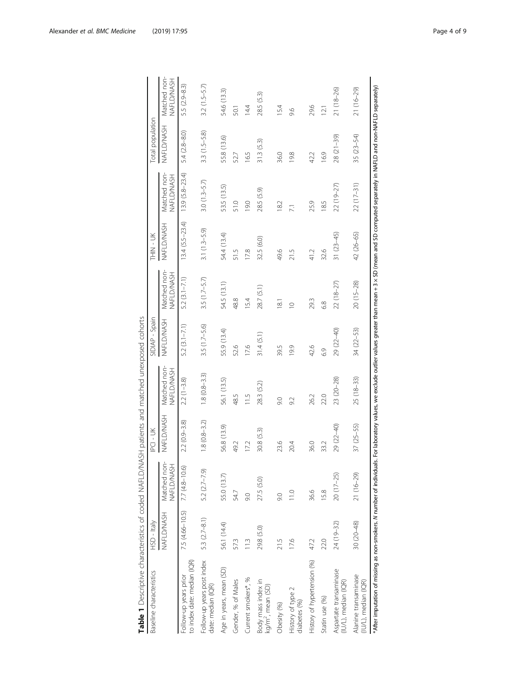<span id="page-3-0"></span>

| Table 1 Descriptive characteristics of coded NAFLD/NA                |                  |                            |                  | SH patients and matched unexposed cohorts |                  |                            |                                                                                                                                                 |                                   |                  |                            |
|----------------------------------------------------------------------|------------------|----------------------------|------------------|-------------------------------------------|------------------|----------------------------|-------------------------------------------------------------------------------------------------------------------------------------------------|-----------------------------------|------------------|----------------------------|
| Baseline characteristics                                             | HSD - Italy      |                            | IPCI - UK        |                                           | SIDIAP - Spain   |                            | THIN - UK                                                                                                                                       |                                   | Total population |                            |
|                                                                      | NAFLD/NASH       | Matched non-<br>NAFLD/NASH | NAFLD/NASH       | Matched non-<br>NAFLD/NASH                | NAFLD/NASH       | Matched non-<br>NAFLD/NASH | NAFLD/NASH                                                                                                                                      | Matched non-<br><b>NAFLD/NASH</b> | NAFLD/NASH       | Matched non-<br>NAFLD/NASH |
| to index date: median (IQR)<br>Follow-up years prior                 | 7.5 (4.66-10.5)  | $7.7(4.8 - 10.6)$          | $2.2(0.9 - 3.8)$ | $2.2(1-3.8)$                              | $5.2(3.1 - 7.1)$ | $5.2(3.1 - 7.1)$           | $13.4 (5.5 - 23.4)$                                                                                                                             | $13.9(5.8-23.4)$                  | $5.4(2.8 - 8.0)$ | 5.5 (2.9-8.3)              |
| Follow-up years post index<br>date: median (IQR)                     | $5.3(2.7 - 8.1)$ | $5.2(2.7 - 7.9)$           | $1.8(0.8-3.2)$   | $1.8(0.8-3.3)$                            | $3.5(1.7 - 5.6)$ | $3.5(1.7 - 5.7)$           | $3.1(1.3 - 5.9)$                                                                                                                                | $3.0(1.3 - 5.7)$                  | $3.3(1.5 - 5.8)$ | $3.2(1.5 - 5.7)$           |
| Age in years, mean (SD)                                              | 56.1 (14.4)      | 55.0 (13.7)                | 56.8 (13.9)      | 56.1 (13.5)                               | 55.9 (13.4)      | 54.5 (13.1)                | 54.4 (13.4)                                                                                                                                     | 53.5 (13.5)                       | 55.8 (13.6)      | 54.6 (13.3)                |
| Gender, % of Males                                                   | 57.3             | 54.7                       | 49.2             | 48.5                                      | 52.6             | 48.8                       | 51.5                                                                                                                                            | 51.0                              | 52.7             | 50.1                       |
| Current smokers*, %                                                  | 11.3             | 9.0                        | 172              | 11.5                                      | 17.6             | 15.4                       | 17.8                                                                                                                                            | 19.0                              | 16.5             | 14.4                       |
| Body mass index in<br>kg/m <sup>2</sup> , mean (SD)                  | 29.8 (5.0)       | 27.5(5.0)                  | 30.8 (5.3)       | 28.3 (5.2)                                | 31.4(5.1)        | 28.7 (5.1)                 | 32.5 (6.0)                                                                                                                                      | 28.5 (5.9)                        | 31.3(5.3)        | 28.5 (5.3)                 |
| Obesity (%)                                                          | 21.5             | 9.0                        | 23.6             | 9.0                                       | 39.5             | 18.1                       | 49.6                                                                                                                                            | 182                               | 36.0             | 15.4                       |
| History of type 2<br>diabetes (%)                                    | 17.6             | 11.0                       | 20.4             | 9.2                                       | 199              | $\supseteq$                | 21.5                                                                                                                                            | $\overline{71}$                   | 19.8             | 9.6                        |
| History of hypertension (%)                                          | 47.2             | 36.6                       | 36.0             | 26.2                                      | 42.6             | 29.3                       | 41.2                                                                                                                                            | 25.9                              | 42.2             | 29.6                       |
| Statin use (%)                                                       | 22.0             | 15.8                       | 33.2             | 22.0                                      | 6.9              | 6.8                        | 32.6                                                                                                                                            | 185                               | 16.9             | 12.1                       |
| Aspartate transaminase<br>(IU/L), median (IQR)                       | 24 (19-32)       | 20 (17-25)                 | 29 (22-40)       | 23 (20-28)                                | 29 (22-40)       | 22 (18-27)                 | $31(23-45)$                                                                                                                                     | 22 (19-27)                        | 28 (21-39)       | 21 (18-26)                 |
| Alanine transaminase<br>(IU/L), median (IQR)                         | $30(20-48)$      | 21 (16-29)                 | $37(25 - 55)$    | 25 (18-33)                                | $34(22 - 53)$    | 20 (15-28)                 | 42 (26-65)                                                                                                                                      | $22(17-31)$                       | 35 (23-54)       | 21 (16-29)                 |
| *After imputation of missing as non-smokers. N number of individuals |                  |                            |                  |                                           |                  |                            | For laboratory values, we exclude outlier values greater than mean + 3 x SD (mean and SD computed separately in NAFLD and non-NAFLD separately) |                                   |                  |                            |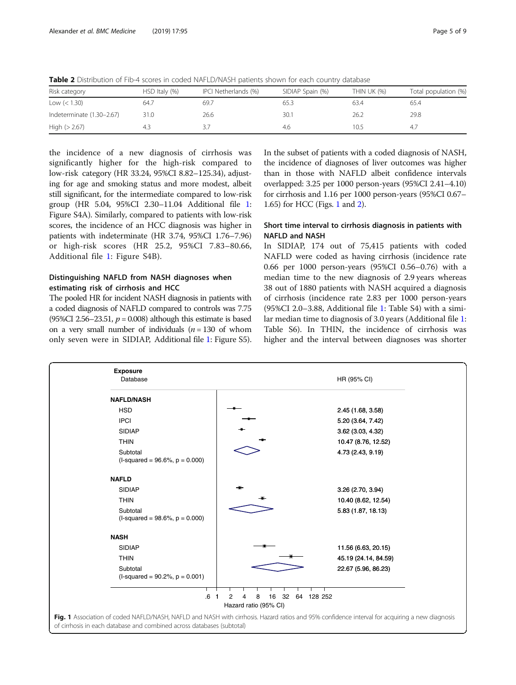<span id="page-4-0"></span>

| <b>Table 2</b> Distribution of Fib-4 scores in coded NAFLD/NASH patients shown for each country database |  |
|----------------------------------------------------------------------------------------------------------|--|
|----------------------------------------------------------------------------------------------------------|--|

| Risk category             | HSD Italy (%) | IPCI Netherlands (%) | SIDIAP Spain (%) | <b>THIN UK (%)</b> | Total population (%) |
|---------------------------|---------------|----------------------|------------------|--------------------|----------------------|
| Low $(< 1.30)$            | 64.7          | 69.7                 | 65.3             | 63.4               | 65.4                 |
| Indeterminate (1.30-2.67) | 31.0          | 26.6                 | 30.1             | 26.2               | 29.8                 |
| High $(>2.67)$            |               |                      | 4.6              | 10.5               |                      |

the incidence of a new diagnosis of cirrhosis was significantly higher for the high-risk compared to low-risk category (HR 33.24, 95%CI 8.82–125.34), adjusting for age and smoking status and more modest, albeit still significant, for the intermediate compared to low-risk group (HR 5.04, 95%CI 2.30–11.04 Additional file [1](#page-6-0): Figure S4A). Similarly, compared to patients with low-risk scores, the incidence of an HCC diagnosis was higher in patients with indeterminate (HR 3.74, 95%CI 1.76–7.96) or high-risk scores (HR 25.2, 95%CI 7.83–80.66, Additional file [1:](#page-6-0) Figure S4B).

# Distinguishing NAFLD from NASH diagnoses when estimating risk of cirrhosis and HCC

The pooled HR for incident NASH diagnosis in patients with a coded diagnosis of NAFLD compared to controls was 7.75 (95%CI 2.56–23.51,  $p = 0.008$ ) although this estimate is based on a very small number of individuals  $(n = 130)$  of whom only seven were in SIDIAP, Additional file [1:](#page-6-0) Figure S5). In the subset of patients with a coded diagnosis of NASH, the incidence of diagnoses of liver outcomes was higher than in those with NAFLD albeit confidence intervals overlapped: 3.25 per 1000 person-years (95%CI 2.41–4.10) for cirrhosis and 1.16 per 1000 person-years (95%CI 0.67– 1.65) for HCC (Figs. 1 and [2](#page-5-0)).

# Short time interval to cirrhosis diagnosis in patients with NAFLD and NASH

In SIDIAP, 174 out of 75,415 patients with coded NAFLD were coded as having cirrhosis (incidence rate 0.66 per 1000 person-years (95%CI 0.56–0.76) with a median time to the new diagnosis of 2.9 years whereas 38 out of 1880 patients with NASH acquired a diagnosis of cirrhosis (incidence rate 2.83 per 1000 person-years (95%CI 2.0–3.88, Additional file [1:](#page-6-0) Table S4) with a similar median time to diagnosis of 3.0 years (Additional file [1](#page-6-0): Table S6). In THIN, the incidence of cirrhosis was higher and the interval between diagnoses was shorter

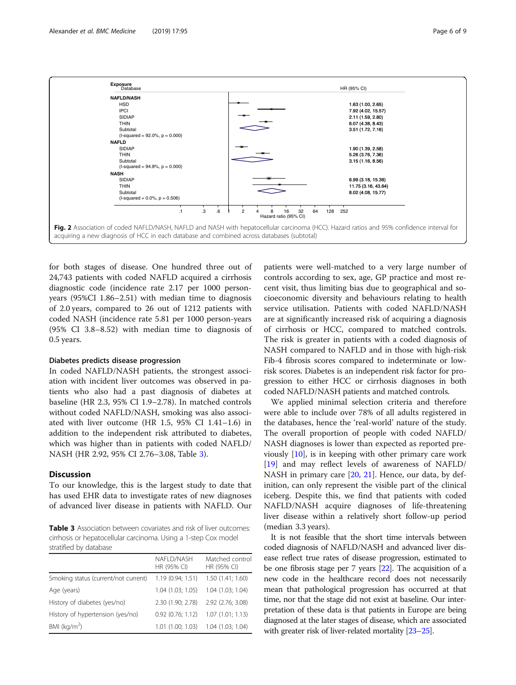<span id="page-5-0"></span>

for both stages of disease. One hundred three out of 24,743 patients with coded NAFLD acquired a cirrhosis diagnostic code (incidence rate 2.17 per 1000 personyears (95%CI 1.86–2.51) with median time to diagnosis of 2.0 years, compared to 26 out of 1212 patients with coded NASH (incidence rate 5.81 per 1000 person-years (95% CI 3.8–8.52) with median time to diagnosis of 0.5 years.

#### Diabetes predicts disease progression

In coded NAFLD/NASH patients, the strongest association with incident liver outcomes was observed in patients who also had a past diagnosis of diabetes at baseline (HR 2.3, 95% CI 1.9–2.78). In matched controls without coded NAFLD/NASH, smoking was also associated with liver outcome (HR 1.5, 95% CI 1.41–1.6) in addition to the independent risk attributed to diabetes, which was higher than in patients with coded NAFLD/ NASH (HR 2.92, 95% CI 2.76–3.08, Table 3).

#### **Discussion**

To our knowledge, this is the largest study to date that has used EHR data to investigate rates of new diagnoses of advanced liver disease in patients with NAFLD. Our

Table 3 Association between covariates and risk of liver outcomes: cirrhosis or hepatocellular carcinoma. Using a 1-step Cox model stratified by database

|                                      | NAFLD/NASH<br>HR (95% CI) | Matched control<br>HR (95% CI) |
|--------------------------------------|---------------------------|--------------------------------|
| Smoking status (current/not current) | 1.19(0.94; 1.51)          | 1.50 (1.41; 1.60)              |
| Age (years)                          | 1.04 (1.03; 1.05)         | 1.04 (1.03; 1.04)              |
| History of diabetes (yes/no)         | 2.30 (1.90; 2.78)         | 2.92 (2.76; 3.08)              |
| History of hypertension (yes/no)     | $0.92$ $(0.76; 1.12)$     | 1.07(1.01; 1.13)               |
| BMI ( $kg/m2$ )                      | 1.01 (1.00; 1.03)         | 1.04 (1.03; 1.04)              |

patients were well-matched to a very large number of controls according to sex, age, GP practice and most recent visit, thus limiting bias due to geographical and socioeconomic diversity and behaviours relating to health service utilisation. Patients with coded NAFLD/NASH are at significantly increased risk of acquiring a diagnosis of cirrhosis or HCC, compared to matched controls. The risk is greater in patients with a coded diagnosis of NASH compared to NAFLD and in those with high-risk Fib-4 fibrosis scores compared to indeterminate or lowrisk scores. Diabetes is an independent risk factor for progression to either HCC or cirrhosis diagnoses in both coded NAFLD/NASH patients and matched controls.

We applied minimal selection criteria and therefore were able to include over 78% of all adults registered in the databases, hence the 'real-world' nature of the study. The overall proportion of people with coded NAFLD/ NASH diagnoses is lower than expected as reported previously [[10\]](#page-8-0), is in keeping with other primary care work [[19\]](#page-8-0) and may reflect levels of awareness of NAFLD/ NASH in primary care [[20,](#page-8-0) [21\]](#page-8-0). Hence, our data, by definition, can only represent the visible part of the clinical iceberg. Despite this, we find that patients with coded NAFLD/NASH acquire diagnoses of life-threatening liver disease within a relatively short follow-up period (median 3.3 years).

It is not feasible that the short time intervals between coded diagnosis of NAFLD/NASH and advanced liver disease reflect true rates of disease progression, estimated to be one fibrosis stage per 7 years [\[22\]](#page-8-0). The acquisition of a new code in the healthcare record does not necessarily mean that pathological progression has occurred at that time, nor that the stage did not exist at baseline. Our interpretation of these data is that patients in Europe are being diagnosed at the later stages of disease, which are associated with greater risk of liver-related mortality [[23](#page-8-0)–[25](#page-8-0)].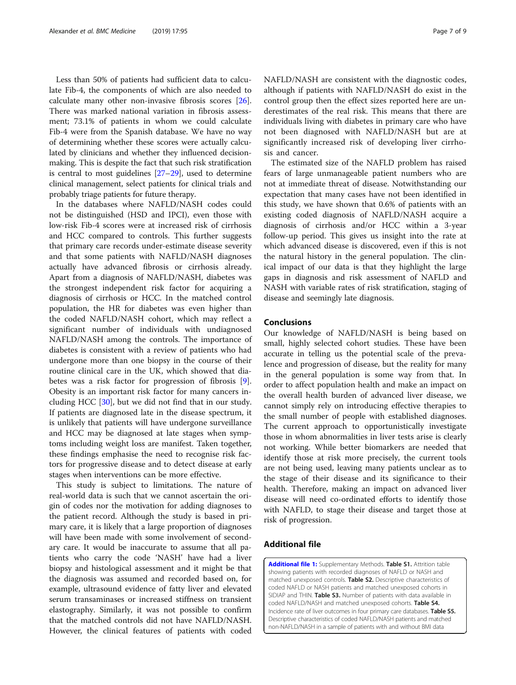<span id="page-6-0"></span>Less than 50% of patients had sufficient data to calculate Fib-4, the components of which are also needed to calculate many other non-invasive fibrosis scores [\[26](#page-8-0)]. There was marked national variation in fibrosis assessment; 73.1% of patients in whom we could calculate Fib-4 were from the Spanish database. We have no way of determining whether these scores were actually calculated by clinicians and whether they influenced decisionmaking. This is despite the fact that such risk stratification is central to most guidelines [\[27](#page-8-0)–[29](#page-8-0)], used to determine clinical management, select patients for clinical trials and probably triage patients for future therapy.

In the databases where NAFLD/NASH codes could not be distinguished (HSD and IPCI), even those with low-risk Fib-4 scores were at increased risk of cirrhosis and HCC compared to controls. This further suggests that primary care records under-estimate disease severity and that some patients with NAFLD/NASH diagnoses actually have advanced fibrosis or cirrhosis already. Apart from a diagnosis of NAFLD/NASH, diabetes was the strongest independent risk factor for acquiring a diagnosis of cirrhosis or HCC. In the matched control population, the HR for diabetes was even higher than the coded NAFLD/NASH cohort, which may reflect a significant number of individuals with undiagnosed NAFLD/NASH among the controls. The importance of diabetes is consistent with a review of patients who had undergone more than one biopsy in the course of their routine clinical care in the UK, which showed that diabetes was a risk factor for progression of fibrosis [\[9](#page-7-0)]. Obesity is an important risk factor for many cancers including HCC [\[30](#page-8-0)], but we did not find that in our study. If patients are diagnosed late in the disease spectrum, it is unlikely that patients will have undergone surveillance and HCC may be diagnosed at late stages when symptoms including weight loss are manifest. Taken together, these findings emphasise the need to recognise risk factors for progressive disease and to detect disease at early stages when interventions can be more effective.

This study is subject to limitations. The nature of real-world data is such that we cannot ascertain the origin of codes nor the motivation for adding diagnoses to the patient record. Although the study is based in primary care, it is likely that a large proportion of diagnoses will have been made with some involvement of secondary care. It would be inaccurate to assume that all patients who carry the code 'NASH' have had a liver biopsy and histological assessment and it might be that the diagnosis was assumed and recorded based on, for example, ultrasound evidence of fatty liver and elevated serum transaminases or increased stiffness on transient elastography. Similarly, it was not possible to confirm that the matched controls did not have NAFLD/NASH. However, the clinical features of patients with coded

NAFLD/NASH are consistent with the diagnostic codes, although if patients with NAFLD/NASH do exist in the control group then the effect sizes reported here are underestimates of the real risk. This means that there are individuals living with diabetes in primary care who have not been diagnosed with NAFLD/NASH but are at significantly increased risk of developing liver cirrhosis and cancer.

The estimated size of the NAFLD problem has raised fears of large unmanageable patient numbers who are not at immediate threat of disease. Notwithstanding our expectation that many cases have not been identified in this study, we have shown that 0.6% of patients with an existing coded diagnosis of NAFLD/NASH acquire a diagnosis of cirrhosis and/or HCC within a 3-year follow-up period. This gives us insight into the rate at which advanced disease is discovered, even if this is not the natural history in the general population. The clinical impact of our data is that they highlight the large gaps in diagnosis and risk assessment of NAFLD and NASH with variable rates of risk stratification, staging of disease and seemingly late diagnosis.

### Conclusions

Our knowledge of NAFLD/NASH is being based on small, highly selected cohort studies. These have been accurate in telling us the potential scale of the prevalence and progression of disease, but the reality for many in the general population is some way from that. In order to affect population health and make an impact on the overall health burden of advanced liver disease, we cannot simply rely on introducing effective therapies to the small number of people with established diagnoses. The current approach to opportunistically investigate those in whom abnormalities in liver tests arise is clearly not working. While better biomarkers are needed that identify those at risk more precisely, the current tools are not being used, leaving many patients unclear as to the stage of their disease and its significance to their health. Therefore, making an impact on advanced liver disease will need co-ordinated efforts to identify those with NAFLD, to stage their disease and target those at risk of progression.

# Additional file

[Additional file 1:](https://doi.org/10.1186/s12916-019-1321-x) Supplementary Methods. Table S1. Attrition table showing patients with recorded diagnoses of NAFLD or NASH and matched unexposed controls. Table S2. Descriptive characteristics of coded NAFLD or NASH patients and matched unexposed cohorts in SIDIAP and THIN. Table S3. Number of patients with data available in coded NAFLD/NASH and matched unexposed cohorts. Table S4. Incidence rate of liver outcomes in four primary care databases. **Table S5.** Descriptive characteristics of coded NAFLD/NASH patients and matched non-NAFLD/NASH in a sample of patients with and without BMI data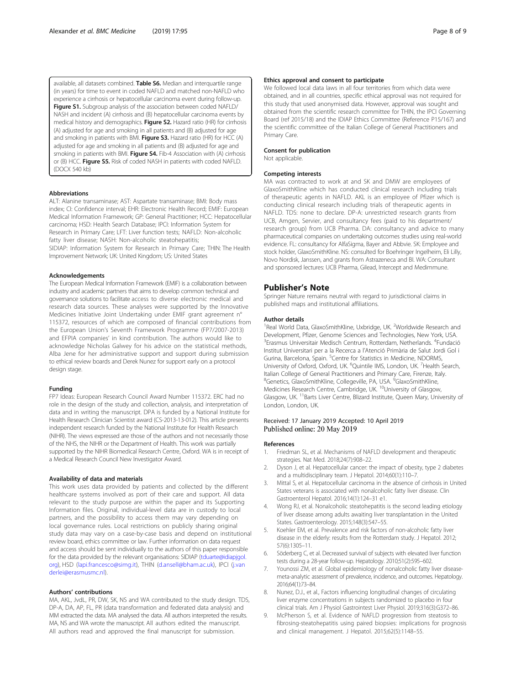<span id="page-7-0"></span>available, all datasets combined. Table S6. Median and interquartile range (in years) for time to event in coded NAFLD and matched non-NAFLD who experience a cirrhosis or hepatocellular carcinoma event during follow-up. Figure S1. Subgroup analysis of the association between coded NAFLD/ NASH and incident (A) cirrhosis and (B) hepatocellular carcinoma events by medical history and demographics. Figure S2. Hazard ratio (HR) for cirrhosis (A) adjusted for age and smoking in all patients and (B) adjusted for age and smoking in patients with BMI. Figure S3. Hazard ratio (HR) for HCC (A) adjusted for age and smoking in all patients and (B) adjusted for age and smoking in patients with BMI. Figure S4. Fib-4 Association with (A) cirrhosis or (B) HCC. Figure S5. Risk of coded NASH in patients with coded NAFLD. (DOCX 540 kb)

#### **Abbreviations**

ALT: Alanine transaminase; AST: Aspartate transaminase; BMI: Body mass index; CI: Confidence interval; EHR: Electronic Health Record; EMIF: European Medical Information Framework; GP: General Practitioner; HCC: Hepatocellular carcinoma; HSD: Health Search Database; IPCI: Information System for Research in Primary Care; LFT: Liver function tests; NAFLD: Non-alcoholic fatty liver disease; NASH: Non-alcoholic steatohepatitis; SIDIAP: Information System for Research in Primary Care; THIN: The Health Improvement Network; UK: United Kingdom; US: United States

#### Acknowledgements

The European Medical Information Framework (EMIF) is a collaboration between industry and academic partners that aims to develop common technical and governance solutions to facilitate access to diverse electronic medical and research data sources. These analyses were supported by the Innovative Medicines Initiative Joint Undertaking under EMIF grant agreement n° 115372, resources of which are composed of financial contributions from the European Union's Seventh Framework Programme (FP7/2007-2013) and EFPIA companies' in kind contribution. The authors would like to acknowledge Nicholas Galwey for his advice on the statistical methods, Alba Jene for her administrative support and support during submission to ethical review boards and Derek Nunez for support early on a protocol design stage.

#### Funding

FP7 Ideas: European Research Council Award Number 115372. ERC had no role in the design of the study and collection, analysis, and interpretation of data and in writing the manuscript. DPA is funded by a National Institute for Health Research Clinician Scientist award (CS-2013-13-012). This article presents independent research funded by the National Institute for Health Research (NIHR). The views expressed are those of the authors and not necessarily those of the NHS, the NIHR or the Department of Health. This work was partially supported by the NIHR Biomedical Research Centre, Oxford. WA is in receipt of a Medical Research Council New Investigator Award.

#### Availability of data and materials

This work uses data provided by patients and collected by the different healthcare systems involved as port of their care and support. All data relevant to the study purpose are within the paper and its Supporting Information files. Original, individual-level data are in custody to local partners, and the possibility to access them may vary depending on local governance rules. Local restrictions on publicly sharing original study data may vary on a case-by-case basis and depend on institutional review board, ethics committee or law. Further information on data request and access should be sent individually to the authors of this paper responsible for the data provided by the relevant organisations: SIDIAP ([tduarte@idiapjgol.](mailto:tduarte@idiapjgol.org) [org\)](mailto:tduarte@idiapjgol.org), HSD ([lapi.francesco@simg.it](mailto:lapi.francesco@simg.it)), THIN [\(d.ansell@bham.ac.uk](mailto:d.ansell@bham.ac.uk)), IPCI ([j.van](mailto:j.vanderlei@erasmusmc.nl) [derlei@erasmusmc.nl](mailto:j.vanderlei@erasmusmc.nl)).

#### Authors' contributions

MA, AKL, JvdL, PR, DW, SK, NS and WA contributed to the study design. TDS, DP-A, DA, AP, FL, PR (data transformation and federated data analysis) and MM extracted the data. MA analysed the data. All authors interpreted the results. MA, NS and WA wrote the manuscript. All authors edited the manuscript. All authors read and approved the final manuscript for submission.

#### Ethics approval and consent to participate

We followed local data laws in all four territories from which data were obtained, and in all countries, specific ethical approval was not required for this study that used anonymised data. However, approval was sought and obtained from the scientific research committee for THIN, the IPCI Governing Board (ref 2015/18) and the IDIAP Ethics Committee (Reference P15/167) and the scientific committee of the Italian College of General Practitioners and Primary Care.

#### Consent for publication

Not applicable.

#### Competing interests

MA was contracted to work at and SK and DMW are employees of GlaxoSmithKline which has conducted clinical research including trials of therapeutic agents in NAFLD. AKL is an employee of Pfizer which is conducting clinical research including trials of therapeutic agents in NAFLD. TDS: none to declare. DP-A: unrestricted research grants from UCB, Amgen, Servier, and consultancy fees (paid to his department/ research group) from UCB Pharma. DA: consultancy and advice to many pharmaceutical companies on undertaking outcomes studies using real-world evidence. FL: consultancy for AlfaSigma, Bayer and Abbvie. SK: Employee and stock holder, GlaxoSmithKline. NS: consulted for Boehringer Ingelheim, Eli Lilly, Novo Nordisk, Janssen, and grants from Astrazeneca and BI. WA: Consultant and sponsored lectures: UCB Pharma, Gilead, Intercept and Medimmune.

#### Publisher's Note

Springer Nature remains neutral with regard to jurisdictional claims in published maps and institutional affiliations.

#### Author details

<sup>1</sup> Real World Data, GlaxoSmithKline, Uxbridge, UK. <sup>2</sup>Worldwide Research and Development, Pfizer, Genome Sciences and Technologies, New York, USA. <sup>3</sup> Erasmus Universitair Medisch Centrum, Rotterdam, Netherlands. <sup>4</sup> Fundació Institut Universitari per a la Recerca a l'Atenció Primària de Salut Jordi Gol i Gurina, Barcelona, Spain. <sup>5</sup>Centre for Statistics in Medicine, NDORMS, University of Oxford, Oxford, UK. <sup>6</sup>Quintile IMS, London, UK. <sup>7</sup> Health Search Italian College of General Practitioners and Primary Care, Firenze, Italy. <sup>8</sup>Genetics, GlaxoSmithKline, Collegeville, PA, USA. <sup>9</sup>GlaxoSmithKline, Medicines Research Centre, Cambridge, UK.<sup>10</sup>University of Glasgow, Glasgow, UK.<sup>11</sup>Barts Liver Centre, Blizard Institute, Queen Mary, University of London, London, UK.

#### Received: 17 January 2019 Accepted: 10 April 2019 Published online: 20 May 2019

#### References

- 1. Friedman SL, et al. Mechanisms of NAFLD development and therapeutic strategies. Nat Med. 2018;24(7):908–22.
- 2. Dyson J, et al. Hepatocellular cancer: the impact of obesity, type 2 diabetes and a multidisciplinary team. J Hepatol. 2014;60(1):110–7.
- 3. Mittal S, et al. Hepatocellular carcinoma in the absence of cirrhosis in United States veterans is associated with nonalcoholic fatty liver disease. Clin Gastroenterol Hepatol. 2016;14(1):124–31 e1.
- 4. Wong RJ, et al. Nonalcoholic steatohepatitis is the second leading etiology of liver disease among adults awaiting liver transplantation in the United States. Gastroenterology. 2015;148(3):547–55.
- 5. Koehler EM, et al. Prevalence and risk factors of non-alcoholic fatty liver disease in the elderly: results from the Rotterdam study. J Hepatol. 2012; 57(6):1305–11.
- 6. Söderberg C, et al. Decreased survival of subjects with elevated liver function tests during a 28-year follow-up. Hepatology. 2010;51(2):595–602.
- 7. Younossi ZM, et al. Global epidemiology of nonalcoholic fatty liver diseasemeta-analytic assessment of prevalence, incidence, and outcomes. Hepatology. 2016;64(1):73–84.
- 8. Nunez, D.J., et al., Factors influencing longitudinal changes of circulating liver enzyme concentrations in subjects randomized to placebo in four clinical trials. Am J Physiol Gastrointest Liver Physiol. 2019;316(3):G372–86.
- 9. McPherson S, et al. Evidence of NAFLD progression from steatosis to fibrosing-steatohepatitis using paired biopsies: implications for prognosis and clinical management. J Hepatol. 2015;62(5):1148–55.